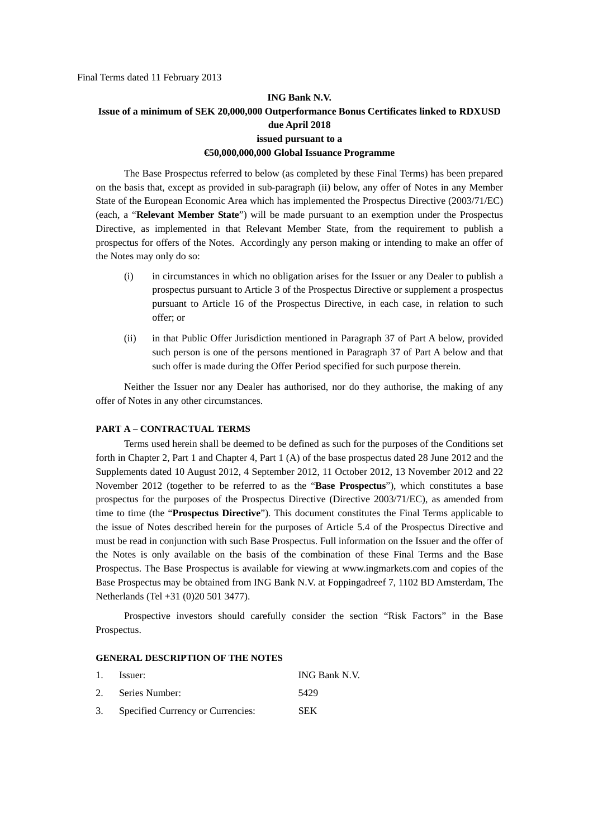# **ING Bank N.V. Issue of a minimum of SEK 20,000,000 Outperformance Bonus Certificates linked to RDXUSD due April 2018 issued pursuant to a €50,000,000,000 Global Issuance Programme**

The Base Prospectus referred to below (as completed by these Final Terms) has been prepared on the basis that, except as provided in sub-paragraph (ii) below, any offer of Notes in any Member State of the European Economic Area which has implemented the Prospectus Directive (2003/71/EC) (each, a "**Relevant Member State**") will be made pursuant to an exemption under the Prospectus Directive, as implemented in that Relevant Member State, from the requirement to publish a prospectus for offers of the Notes. Accordingly any person making or intending to make an offer of the Notes may only do so:

- (i) in circumstances in which no obligation arises for the Issuer or any Dealer to publish a prospectus pursuant to Article 3 of the Prospectus Directive or supplement a prospectus pursuant to Article 16 of the Prospectus Directive, in each case, in relation to such offer; or
- (ii) in that Public Offer Jurisdiction mentioned in Paragraph 37 of Part A below, provided such person is one of the persons mentioned in Paragraph 37 of Part A below and that such offer is made during the Offer Period specified for such purpose therein.

Neither the Issuer nor any Dealer has authorised, nor do they authorise, the making of any offer of Notes in any other circumstances.

#### **PART A – CONTRACTUAL TERMS**

Terms used herein shall be deemed to be defined as such for the purposes of the Conditions set forth in Chapter 2, Part 1 and Chapter 4, Part 1 (A) of the base prospectus dated 28 June 2012 and the Supplements dated 10 August 2012, 4 September 2012, 11 October 2012, 13 November 2012 and 22 November 2012 (together to be referred to as the "**Base Prospectus**"), which constitutes a base prospectus for the purposes of the Prospectus Directive (Directive 2003/71/EC), as amended from time to time (the "**Prospectus Directive**"). This document constitutes the Final Terms applicable to the issue of Notes described herein for the purposes of Article 5.4 of the Prospectus Directive and must be read in conjunction with such Base Prospectus. Full information on the Issuer and the offer of the Notes is only available on the basis of the combination of these Final Terms and the Base Prospectus. The Base Prospectus is available for viewing at www.ingmarkets.com and copies of the Base Prospectus may be obtained from ING Bank N.V. at Foppingadreef 7, 1102 BD Amsterdam, The Netherlands (Tel +31 (0)20 501 3477).

Prospective investors should carefully consider the section "Risk Factors" in the Base Prospectus.

#### **GENERAL DESCRIPTION OF THE NOTES**

| 1. | Issuer:                              | ING Bank N.V. |
|----|--------------------------------------|---------------|
|    | 2. Series Number:                    | 5429          |
|    | 3. Specified Currency or Currencies: | <b>SEK</b>    |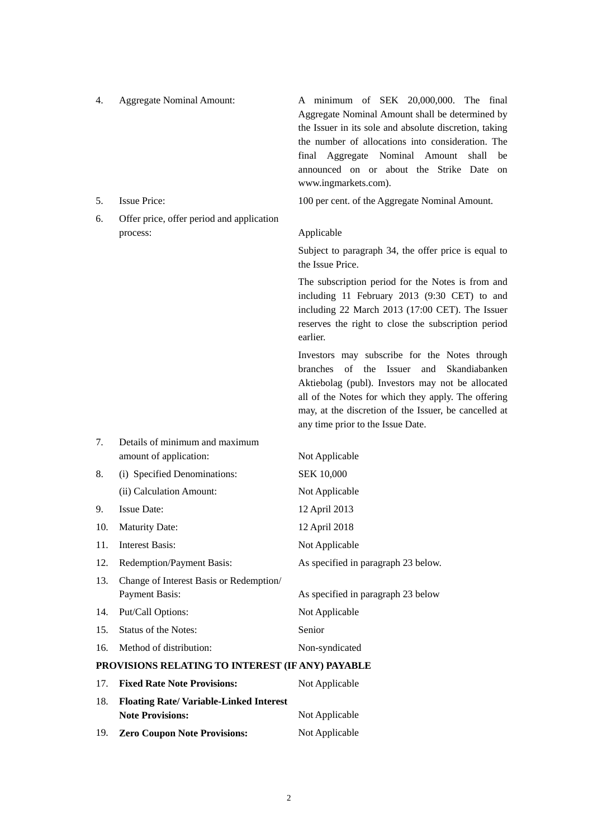4. Aggregate Nominal Amount: A minimum of SEK 20,000,000. The final Aggregate Nominal Amount shall be determined by the Issuer in its sole and absolute discretion, taking the number of allocations into consideration. The final Aggregate Nominal Amount shall be announced on or about the Strike Date on www.ingmarkets.com).

- 
- 6. Offer price, offer period and application process: Applicable

7. Details of minimum and maximum

5. Issue Price: 100 per cent. of the Aggregate Nominal Amount.

Subject to paragraph 34, the offer price is equal to the Issue Price.

The subscription period for the Notes is from and including 11 February 2013 (9:30 CET) to and including 22 March 2013 (17:00 CET). The Issuer reserves the right to close the subscription period earlier.

Investors may subscribe for the Notes through branches of the Issuer and Skandiabanken Aktiebolag (publ). Investors may not be allocated all of the Notes for which they apply. The offering may, at the discretion of the Issuer, be cancelled at any time prior to the Issue Date.

|                                                  | amount of application:                  | Not Applicable                      |
|--------------------------------------------------|-----------------------------------------|-------------------------------------|
| 8.                                               | (i) Specified Denominations:            | <b>SEK 10,000</b>                   |
|                                                  | (ii) Calculation Amount:                | Not Applicable                      |
| 9.                                               | <b>Issue Date:</b>                      | 12 April 2013                       |
| 10.                                              | <b>Maturity Date:</b>                   | 12 April 2018                       |
| 11.                                              | Interest Basis:                         | Not Applicable                      |
| 12.                                              | Redemption/Payment Basis:               | As specified in paragraph 23 below. |
| 13.                                              | Change of Interest Basis or Redemption/ |                                     |
|                                                  | <b>Payment Basis:</b>                   | As specified in paragraph 23 below  |
| 14.                                              | Put/Call Options:                       | Not Applicable                      |
| 15.                                              | Status of the Notes:                    | Senior                              |
| 16.                                              | Method of distribution:                 | Non-syndicated                      |
| PROVISIONS RELATING TO INTEREST (IF ANY) PAYABLE |                                         |                                     |

|     | 17. Fixed Rate Note Provisions:               | Not Applicable |
|-----|-----------------------------------------------|----------------|
| 18. | <b>Floating Rate/Variable-Linked Interest</b> |                |
|     | <b>Note Provisions:</b>                       | Not Applicable |
| 19. | <b>Zero Coupon Note Provisions:</b>           | Not Applicable |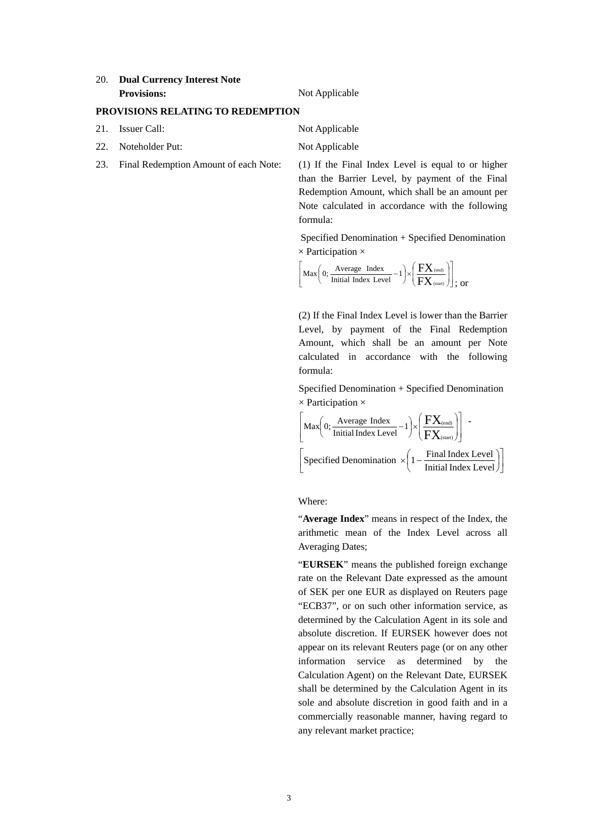#### 20. **Dual Currency Interest Note Provisions:** Not Applicable

### **PROVISIONS RELATING TO REDEMPTION**

- 21. Issuer Call: Not Applicable
- 22. Noteholder Put: Not Applicable
- 23. Final Redemption Amount of each Note: (1) If the Final Index Level is equal to or higher

than the Barrier Level, by payment of the Final Redemption Amount, which shall be an amount per Note calculated in accordance with the following formula:

 Specified Denomination + Specified Denomination  $\times$  Participation  $\times$ 

$$
\left[ \text{Max} \left( 0; \frac{\text{Average Index}}{\text{Initial Index Level}} - 1 \right) \times \left( \frac{FX_{\text{ (end)}}}{FX_{\text{ (start)}}} \right) \right] \text{, or}
$$

(2) If the Final Index Level is lower than the Barrier Level, by payment of the Final Redemption Amount, which shall be an amount per Note calculated in accordance with the following formula:

Specified Denomination + Specified Denomination  $\times$  Participation  $\times$ 

$$
\left[\begin{array}{c}\text{Max}\left(0;\frac{\text{Average Index}}{\text{Initial Index Level}}-1\right) \times \left(\frac{\text{FX}_{\text{(end)}}}{\text{FX}_{\text{(start)}}}\right)\right] - \\\\ \left[\text{Specificd Denominator} \times \left(1 - \frac{\text{Final Index Level}}{\text{Initial Index Level}}\right)\right]\end{array}
$$

Where:

"**Average Index**" means in respect of the Index, the arithmetic mean of the Index Level across all Averaging Dates;

"**EURSEK**" means the published foreign exchange rate on the Relevant Date expressed as the amount of SEK per one EUR as displayed on Reuters page "ECB37", or on such other information service, as determined by the Calculation Agent in its sole and absolute discretion. If EURSEK however does not appear on its relevant Reuters page (or on any other information service as determined by the Calculation Agent) on the Relevant Date, EURSEK shall be determined by the Calculation Agent in its sole and absolute discretion in good faith and in a commercially reasonable manner, having regard to any relevant market practice;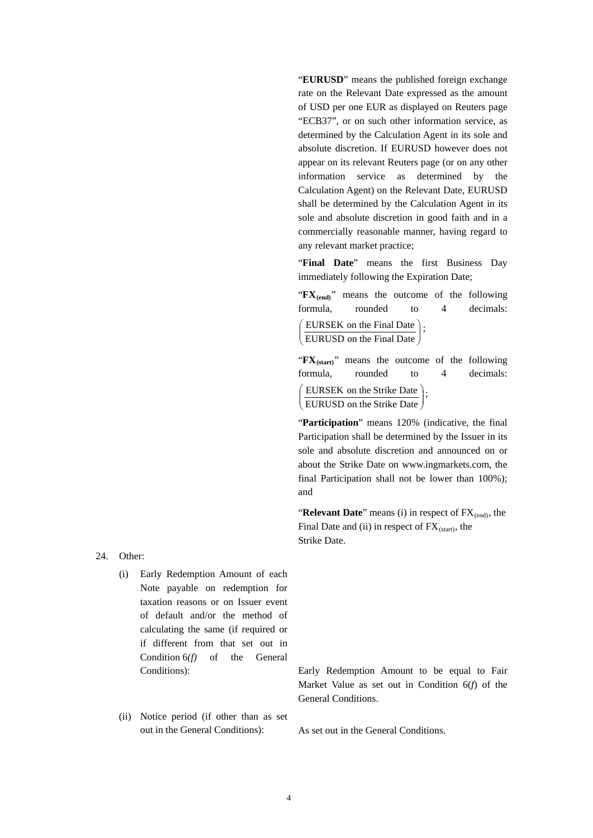"**EURUSD**" means the published foreign exchange rate on the Relevant Date expressed as the amount of USD per one EUR as displayed on Reuters page "ECB37", or on such other information service, as determined by the Calculation Agent in its sole and absolute discretion. If EURUSD however does not appear on its relevant Reuters page (or on any other information service as determined by the Calculation Agent) on the Relevant Date, EURUSD shall be determined by the Calculation Agent in its sole and absolute discretion in good faith and in a commercially reasonable manner, having regard to any relevant market practice;

"**Final Date**" means the first Business Day immediately following the Expiration Date;

"**FX**<sub>(end)</sub>" means the outcome of the following formula, rounded to 4 decimals:  $\overline{\phantom{a}}$ )  $\backslash$  $\overline{\phantom{a}}$ J ſ EURUSD on the Final Date EURSEK on the Final Date  $\Big\}$ ;

"FX<sub>(start)</sub>" means the outcome of the following formula, rounded to 4 decimals:  $\overline{\phantom{a}}$ J  $\left( \right)$  $\parallel$ J ſ EURUSD on the Strike Date EURSEK on the Strike Date  $\Big\}$ ;

"Participation" means 120% (indicative, the final Participation shall be determined by the Issuer in its sole and absolute discretion and announced on or about the Strike Date on www.ingmarkets.com, the final Participation shall not be lower than 100%); and

"**Relevant Date**" means (i) in respect of  $FX_{\text{(end)}}$ , the Final Date and (ii) in respect of  $FX_{(start)}$ , the Strike Date.

24. Other:

- (i) Early Redemption Amount of each Note payable on redemption for taxation reasons or on Issuer event of default and/or the method of calculating the same (if required or if different from that set out in Condition 6*(f)* of the General
- (ii) Notice period (if other than as set out in the General Conditions): As set out in the General Conditions.

Conditions): Early Redemption Amount to be equal to Fair Market Value as set out in Condition 6(*f*) of the General Conditions.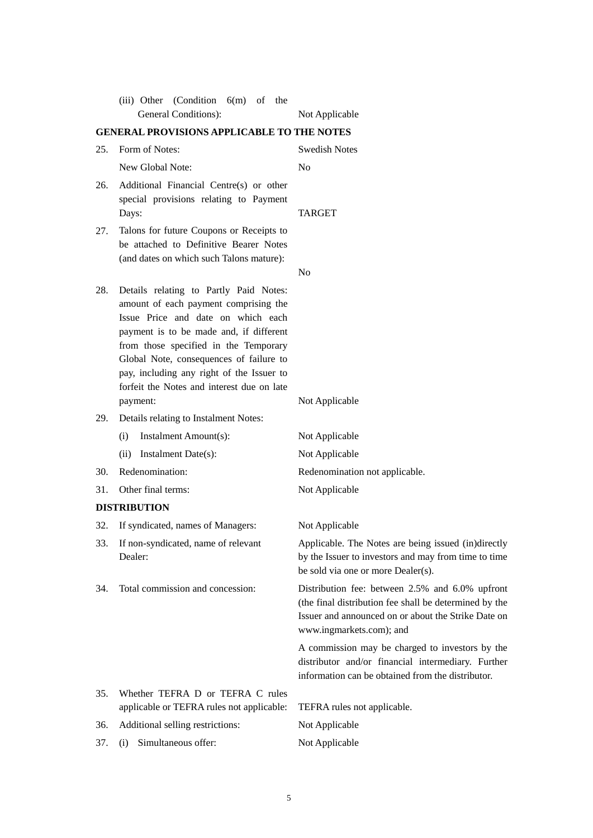|                                                   | General Conditions):                                                                                                                                                                                                                                                                                                                                        | Not Applicable                                                                                                                                                                               |  |
|---------------------------------------------------|-------------------------------------------------------------------------------------------------------------------------------------------------------------------------------------------------------------------------------------------------------------------------------------------------------------------------------------------------------------|----------------------------------------------------------------------------------------------------------------------------------------------------------------------------------------------|--|
| <b>GENERAL PROVISIONS APPLICABLE TO THE NOTES</b> |                                                                                                                                                                                                                                                                                                                                                             |                                                                                                                                                                                              |  |
| 25.                                               | Form of Notes:                                                                                                                                                                                                                                                                                                                                              | <b>Swedish Notes</b>                                                                                                                                                                         |  |
|                                                   | New Global Note:                                                                                                                                                                                                                                                                                                                                            | No                                                                                                                                                                                           |  |
| 26.                                               | Additional Financial Centre(s) or other<br>special provisions relating to Payment<br>Days:                                                                                                                                                                                                                                                                  | <b>TARGET</b>                                                                                                                                                                                |  |
| 27.                                               | Talons for future Coupons or Receipts to<br>be attached to Definitive Bearer Notes<br>(and dates on which such Talons mature):                                                                                                                                                                                                                              | N <sub>0</sub>                                                                                                                                                                               |  |
| 28.                                               | Details relating to Partly Paid Notes:<br>amount of each payment comprising the<br>Issue Price and date on which each<br>payment is to be made and, if different<br>from those specified in the Temporary<br>Global Note, consequences of failure to<br>pay, including any right of the Issuer to<br>forfeit the Notes and interest due on late<br>payment: | Not Applicable                                                                                                                                                                               |  |
| 29.                                               | Details relating to Instalment Notes:                                                                                                                                                                                                                                                                                                                       |                                                                                                                                                                                              |  |
|                                                   | Instalment Amount(s):<br>(i)                                                                                                                                                                                                                                                                                                                                | Not Applicable                                                                                                                                                                               |  |
|                                                   | Instalment Date(s):<br>(ii)                                                                                                                                                                                                                                                                                                                                 | Not Applicable                                                                                                                                                                               |  |
| 30.                                               | Redenomination:                                                                                                                                                                                                                                                                                                                                             | Redenomination not applicable.                                                                                                                                                               |  |
| 31.                                               | Other final terms:                                                                                                                                                                                                                                                                                                                                          | Not Applicable                                                                                                                                                                               |  |
|                                                   | <b>DISTRIBUTION</b>                                                                                                                                                                                                                                                                                                                                         |                                                                                                                                                                                              |  |
| 32.                                               | If syndicated, names of Managers:                                                                                                                                                                                                                                                                                                                           | Not Applicable                                                                                                                                                                               |  |
| 33.                                               | If non-syndicated, name of relevant<br>Dealer:                                                                                                                                                                                                                                                                                                              | Applicable. The Notes are being issued (in)directly<br>by the Issuer to investors and may from time to time<br>be sold via one or more Dealer(s).                                            |  |
| 34.                                               | Total commission and concession:                                                                                                                                                                                                                                                                                                                            | Distribution fee: between 2.5% and 6.0% upfront<br>(the final distribution fee shall be determined by the<br>Issuer and announced on or about the Strike Date on<br>www.ingmarkets.com); and |  |
|                                                   |                                                                                                                                                                                                                                                                                                                                                             | A commission may be charged to investors by the<br>distributor and/or financial intermediary. Further<br>information can be obtained from the distributor.                                   |  |
| 35.                                               | Whether TEFRA D or TEFRA C rules                                                                                                                                                                                                                                                                                                                            |                                                                                                                                                                                              |  |
|                                                   | applicable or TEFRA rules not applicable:                                                                                                                                                                                                                                                                                                                   | TEFRA rules not applicable.                                                                                                                                                                  |  |
| 36.                                               | Additional selling restrictions:                                                                                                                                                                                                                                                                                                                            | Not Applicable                                                                                                                                                                               |  |
| 37.                                               | Simultaneous offer:<br>(i)                                                                                                                                                                                                                                                                                                                                  | Not Applicable                                                                                                                                                                               |  |

(iii) Other (Condition 6(m) of the

5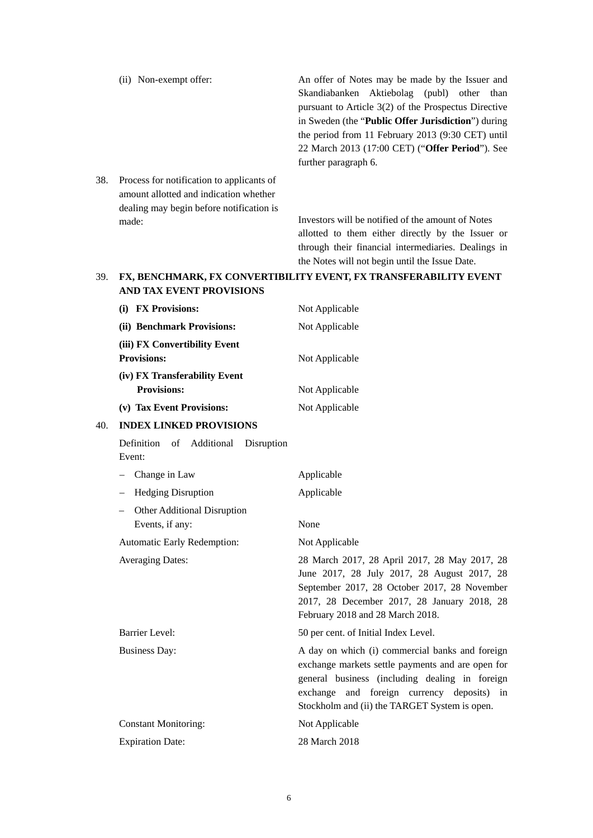|     | (ii) Non-exempt offer:                    | An offer of Notes may be made by the Issuer and             |
|-----|-------------------------------------------|-------------------------------------------------------------|
|     |                                           | Skandiabanken Aktiebolag (publ) other than                  |
|     |                                           | pursuant to Article $3(2)$ of the Prospectus Directive      |
|     |                                           | in Sweden (the " <b>Public Offer Jurisdiction</b> ") during |
|     |                                           | the period from 11 February 2013 (9:30 CET) until           |
|     |                                           | 22 March 2013 (17:00 CET) ("Offer Period"). See             |
|     |                                           | further paragraph 6.                                        |
| 38. | Process for notification to applicants of |                                                             |
|     | amount allotted and indication whether    |                                                             |
|     | dealing may begin before notification is  |                                                             |

made: Investors will be notified of the amount of Notes allotted to them either directly by the Issuer or through their financial intermediaries. Dealings in the Notes will not begin until the Issue Date.

# 39. **FX, BENCHMARK, FX CONVERTIBILITY EVENT, FX TRANSFERABILITY EVENT AND TAX EVENT PROVISIONS**

|     | (i) FX Provisions:                                  | Not Applicable                                                                                                                                                                                                                                        |
|-----|-----------------------------------------------------|-------------------------------------------------------------------------------------------------------------------------------------------------------------------------------------------------------------------------------------------------------|
|     | (ii) Benchmark Provisions:                          | Not Applicable                                                                                                                                                                                                                                        |
|     | (iii) FX Convertibility Event<br><b>Provisions:</b> | Not Applicable                                                                                                                                                                                                                                        |
|     | (iv) FX Transferability Event<br><b>Provisions:</b> | Not Applicable                                                                                                                                                                                                                                        |
|     | (v) Tax Event Provisions:                           | Not Applicable                                                                                                                                                                                                                                        |
| 40. | <b>INDEX LINKED PROVISIONS</b>                      |                                                                                                                                                                                                                                                       |
|     | Definition<br>of Additional<br>Disruption<br>Event: |                                                                                                                                                                                                                                                       |
|     | Change in Law                                       | Applicable                                                                                                                                                                                                                                            |
|     | <b>Hedging Disruption</b>                           | Applicable                                                                                                                                                                                                                                            |
|     | Other Additional Disruption<br>Events, if any:      | None                                                                                                                                                                                                                                                  |
|     | Automatic Early Redemption:                         | Not Applicable                                                                                                                                                                                                                                        |
|     | <b>Averaging Dates:</b>                             | 28 March 2017, 28 April 2017, 28 May 2017, 28<br>June 2017, 28 July 2017, 28 August 2017, 28<br>September 2017, 28 October 2017, 28 November<br>2017, 28 December 2017, 28 January 2018, 28<br>February 2018 and 28 March 2018.                       |
|     | <b>Barrier Level:</b>                               | 50 per cent. of Initial Index Level.                                                                                                                                                                                                                  |
|     | <b>Business Day:</b>                                | A day on which (i) commercial banks and foreign<br>exchange markets settle payments and are open for<br>general business (including dealing in foreign<br>exchange and foreign currency deposits) in<br>Stockholm and (ii) the TARGET System is open. |
|     | <b>Constant Monitoring:</b>                         | Not Applicable                                                                                                                                                                                                                                        |
|     | <b>Expiration Date:</b>                             | 28 March 2018                                                                                                                                                                                                                                         |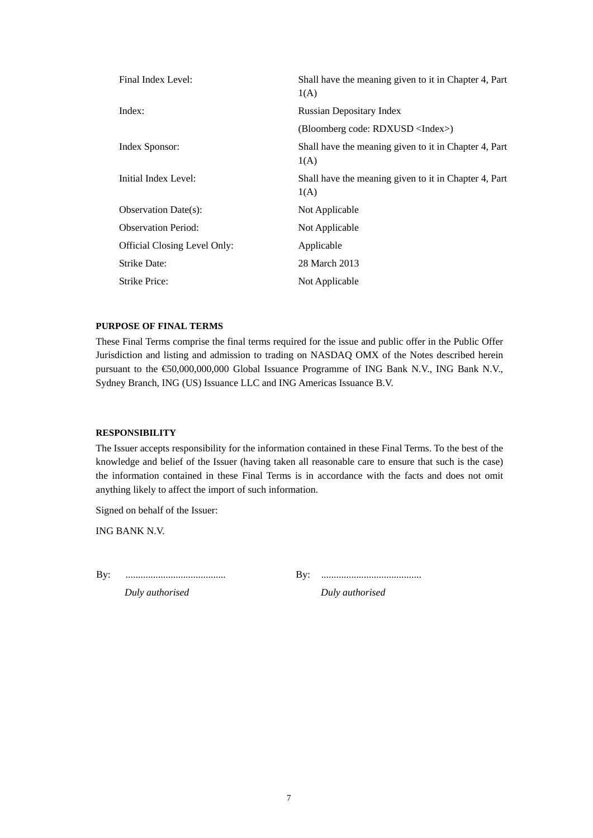| Final Index Level:                  | Shall have the meaning given to it in Chapter 4, Part<br>1(A) |
|-------------------------------------|---------------------------------------------------------------|
| Index:                              | <b>Russian Depositary Index</b>                               |
|                                     | (Bloomberg code: RDXUSD <index>)</index>                      |
| Index Sponsor:                      | Shall have the meaning given to it in Chapter 4, Part<br>1(A) |
| Initial Index Level:                | Shall have the meaning given to it in Chapter 4, Part<br>1(A) |
| <b>Observation Date(s):</b>         | Not Applicable                                                |
| <b>Observation Period:</b>          | Not Applicable                                                |
| <b>Official Closing Level Only:</b> | Applicable                                                    |
| <b>Strike Date:</b>                 | 28 March 2013                                                 |
| Strike Price:                       | Not Applicable                                                |

#### **PURPOSE OF FINAL TERMS**

These Final Terms comprise the final terms required for the issue and public offer in the Public Offer Jurisdiction and listing and admission to trading on NASDAQ OMX of the Notes described herein pursuant to the €50,000,000,000 Global Issuance Programme of ING Bank N.V., ING Bank N.V., Sydney Branch, ING (US) Issuance LLC and ING Americas Issuance B.V.

#### **RESPONSIBILITY**

The Issuer accepts responsibility for the information contained in these Final Terms. To the best of the knowledge and belief of the Issuer (having taken all reasonable care to ensure that such is the case) the information contained in these Final Terms is in accordance with the facts and does not omit anything likely to affect the import of such information.

Signed on behalf of the Issuer:

ING BANK N.V.

By: ........................................ By: ........................................

*Duly authorised Duly authorised*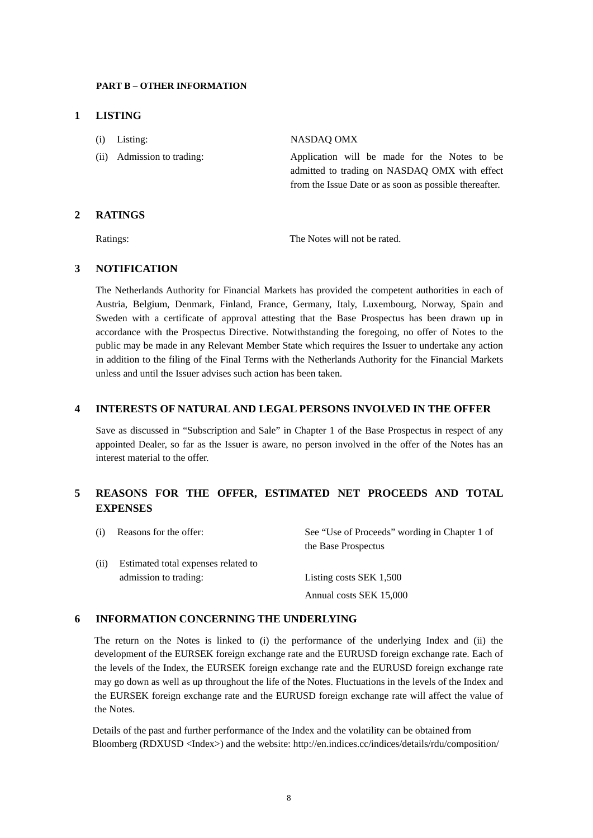#### **PART B – OTHER INFORMATION**

#### **1 LISTING**

| $(i)$ Listing:             | NASDAO OMX                                                                                                                                              |
|----------------------------|---------------------------------------------------------------------------------------------------------------------------------------------------------|
| (ii) Admission to trading: | Application will be made for the Notes to be<br>admitted to trading on NASDAO OMX with effect<br>from the Issue Date or as soon as possible thereafter. |

# **2 RATINGS**

Ratings: The Notes will not be rated.

# **3 NOTIFICATION**

The Netherlands Authority for Financial Markets has provided the competent authorities in each of Austria, Belgium, Denmark, Finland, France, Germany, Italy, Luxembourg, Norway, Spain and Sweden with a certificate of approval attesting that the Base Prospectus has been drawn up in accordance with the Prospectus Directive. Notwithstanding the foregoing, no offer of Notes to the public may be made in any Relevant Member State which requires the Issuer to undertake any action in addition to the filing of the Final Terms with the Netherlands Authority for the Financial Markets unless and until the Issuer advises such action has been taken.

## **4 INTERESTS OF NATURAL AND LEGAL PERSONS INVOLVED IN THE OFFER**

Save as discussed in "Subscription and Sale" in Chapter 1 of the Base Prospectus in respect of any appointed Dealer, so far as the Issuer is aware, no person involved in the offer of the Notes has an interest material to the offer.

# **5 REASONS FOR THE OFFER, ESTIMATED NET PROCEEDS AND TOTAL EXPENSES**

| (i) | Reasons for the offer:              | See "Use of Proceeds" wording in Chapter 1 of<br>the Base Prospectus |
|-----|-------------------------------------|----------------------------------------------------------------------|
| (i) | Estimated total expenses related to |                                                                      |
|     | admission to trading:               | Listing costs SEK 1,500                                              |
|     |                                     | Annual costs SEK 15,000                                              |

# **6 INFORMATION CONCERNING THE UNDERLYING**

The return on the Notes is linked to (i) the performance of the underlying Index and (ii) the development of the EURSEK foreign exchange rate and the EURUSD foreign exchange rate. Each of the levels of the Index, the EURSEK foreign exchange rate and the EURUSD foreign exchange rate may go down as well as up throughout the life of the Notes. Fluctuations in the levels of the Index and the EURSEK foreign exchange rate and the EURUSD foreign exchange rate will affect the value of the Notes.

Details of the past and further performance of the Index and the volatility can be obtained from Bloomberg (RDXUSD <Index>) and the website:<http://en.indices.cc/indices/details/rdu/composition/>